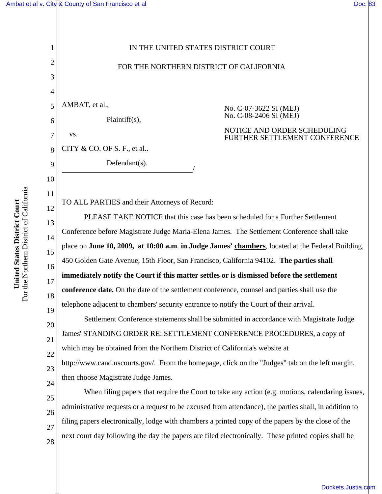## [Ambat et al v. City & County of San Francisco et al](http://dockets.justia.com/docket/california/candce/3:2007cv03622/194010/) [Doc. 83](http://docs.justia.com/cases/federal/district-courts/california/candce/3:2007cv03622/194010/83/)

1 2 3 4 5 6 7 8 9 10 11 12 13 14 15 16 17 18 19 20 21 22 23 24 25 26 27 28 IN THE UNITED STATES DISTRICT COURT FOR THE NORTHERN DISTRICT OF CALIFORNIA AMBAT, et al., Plaintiff(s), vs. CITY & CO. OF S. F., et al..  $Defendant(s)$ . No. C-07-3622 SI (MEJ) No. C-08-2406 SI (MEJ) NOTICE AND ORDER SCHEDULING FURTHER SETTLEMENT CONFERENCE TO ALL PARTIES and their Attorneys of Record: PLEASE TAKE NOTICE that this case has been scheduled for a Further Settlement Conference before Magistrate Judge Maria-Elena James. The Settlement Conference shall take place on **June 10, 2009, at 10:00 a.m**. **in Judge James' chambers**, located at the Federal Building, 450 Golden Gate Avenue, 15th Floor, San Francisco, California 94102. **The parties shall immediately notify the Court if this matter settles or is dismissed before the settlement conference date.** On the date of the settlement conference, counsel and parties shall use the telephone adjacent to chambers' security entrance to notify the Court of their arrival. Settlement Conference statements shall be submitted in accordance with Magistrate Judge James' STANDING ORDER RE: SETTLEMENT CONFERENCE PROCEDURES, a copy of which may be obtained from the Northern District of California's website at http://www.cand.uscourts.gov/. From the homepage, click on the "Judges" tab on the left margin, then choose Magistrate Judge James. When filing papers that require the Court to take any action (e.g. motions, calendaring issues, administrative requests or a request to be excused from attendance), the parties shall, in addition to filing papers electronically, lodge with chambers a printed copy of the papers by the close of the next court day following the day the papers are filed electronically. These printed copies shall be